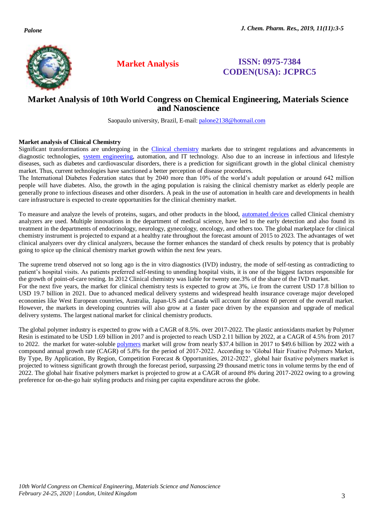

# **Market Analysis ISSN: 0975-7384 CODEN(USA): JCPRC5**

## **Market Analysis of 10th World Congress on Chemical Engineering, Materials Science and Nanoscience**

Saopaulo university, Brazil, E-mail: palone2138@hotmail.com

#### **Market analysis of Clinical Chemistry**

Significant transformations are undergoing in the [Clinical chemistry](https://chemicalengineering.alliedacademies.com/) markets due to stringent regulations and advancements in diagnostic technologies, [system engineering,](https://chemicalengineering.alliedacademies.com/) automation, and IT technology. Also due to an increase in infectious and lifestyle diseases, such as diabetes and cardiovascular disorders, there is a prediction for significant growth in the global clinical chemistry market. Thus, current technologies have sanctioned a better perception of disease procedures.

The International Diabetes Federation states that by 2040 more than 10% of the world's adult population or around 642 million people will have diabetes. Also, the growth in the aging population is raising the clinical chemistry market as elderly people are generally prone to infectious diseases and other disorders. A peak in the use of automation in health care and developments in health care infrastructure is expected to create opportunities for the clinical chemistry market.

To measure and analyze the levels of proteins, sugars, and other products in the blood, [automated devices](https://chemicalengineering.alliedacademies.com/) called Clinical chemistry analyzers are used. Multiple innovations in the department of medical science, have led to the early detection and also found its treatment in the departments of endocrinology, neurology, gynecology, oncology, and others too. The global marketplace for clinical chemistry instrument is projected to expand at a healthy rate throughout the forecast amount of 2015 to 2023. The advantages of wet clinical analyzers over dry clinical analyzers, because the former enhances the standard of check results by potency that is probably going to spice up the clinical chemistry market growth within the next few years.

The supreme trend observed not so long ago is the in vitro diagnostics (IVD) industry, the mode of self-testing as contradicting to patient's hospital visits. As patients preferred self-testing to unending hospital visits, it is one of the biggest factors responsible for the growth of point-of-care testing. In 2012 Clinical chemistry was liable for twenty one.3% of the share of the IVD market. For the next five years, the market for clinical chemistry tests is expected to grow at 3%, i.e from the current USD 17.8 billion to USD 19.7 billion in 2021. Due to advanced medical delivery systems and widespread health insurance coverage major developed economies like West European countries, Australia, Japan-US and Canada will account for almost 60 percent of the overall market. However, the markets in developing countries will also grow at a faster pace driven by the expansion and upgrade of medical delivery systems. The largest national market for clinical chemistry products.

The global polymer industry is expected to grow with a CAGR of 8.5%. over 2017-2022. The plastic antioxidants market by Polymer Resin is estimated to be USD 1.69 billion in 2017 and is projected to reach USD 2.11 billion by 2022, at a CAGR of 4.5% from 2017 to 2022. the market for water-soluble [polymers](https://chemicalengineering.alliedacademies.com/) market will grow from nearly \$37.4 billion in 2017 to \$49.6 billion by 2022 with a compound annual growth rate (CAGR) of 5.8% for the period of 2017-2022. According to 'Global Hair Fixative Polymers Market, By Type, By Application, By Region, Competition Forecast & Opportunities, 2012-2022', global hair fixative polymers market is projected to witness significant growth through the forecast period, surpassing 29 thousand metric tons in volume terms by the end of 2022. The global hair fixative polymers market is projected to grow at a CAGR of around 8% during 2017-2022 owing to a growing preference for on-the-go hair styling products and rising per capita expenditure across the globe.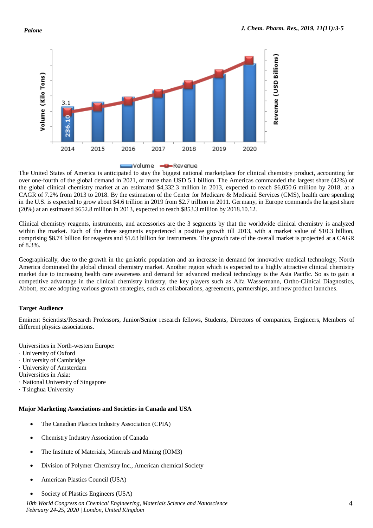



The United States of America is anticipated to stay the biggest national marketplace for clinical chemistry product, accounting for over one-fourth of the global demand in 2021, or more than USD 5.1 billion. The Americas commanded the largest share (42%) of the global clinical chemistry market at an estimated \$4,332.3 million in 2013, expected to reach \$6,050.6 million by 2018, at a CAGR of 7.2% from 2013 to 2018. By the estimation of the Center for Medicare & Medicaid Services (CMS), health care spending in the U.S. is expected to grow about \$4.6 trillion in 2019 from \$2.7 trillion in 2011. Germany, in Europe commands the largest share (20%) at an estimated \$652.8 million in 2013, expected to reach \$853.3 million by 2018.10.12.

Clinical chemistry reagents, instruments, and accessories are the 3 segments by that the worldwide clinical chemistry is analyzed within the market. Each of the three segments experienced a positive growth till 2013, with a market value of \$10.3 billion, comprising \$8.74 billion for reagents and \$1.63 billion for instruments. The growth rate of the overall market is projected at a CAGR of 8.3%.

Geographically, due to the growth in the geriatric population and an increase in demand for innovative medical technology, North America dominated the global clinical chemistry market. Another region which is expected to a highly attractive clinical chemistry market due to increasing health care awareness and demand for advanced medical technology is the Asia Pacific. So as to gain a competitive advantage in the clinical chemistry industry, the key players such as Alfa Wassermann, Ortho-Clinical Diagnostics, Abbott, etc are adopting various growth strategies, such as collaborations, agreements, partnerships, and new product launches.

#### **Target Audience**

Eminent Scientists/Research Professors, Junior/Senior research fellows, Students, Directors of companies, Engineers, Members of different physics associations.

Universities in North-western Europe:

- · University of Oxford
- · University of Cambridge
- · University of Amsterdam
- Universities in Asia:
- · National University of Singapore
- · Tsinghua University

#### **Major Marketing Associations and Societies in Canada and USA**

- The Canadian Plastics Industry Association (CPIA)
- Chemistry Industry Association of Canada
- The Institute of Materials, Minerals and Mining (IOM3)
- Division of Polymer Chemistry Inc., American chemical Society
- American Plastics Council (USA)
- Society of Plastics Engineers (USA)
- *10th World Congress on Chemical Engineering, Materials Science and Nanoscience* 4 *February 24-25, 2020 | London, United Kingdom*